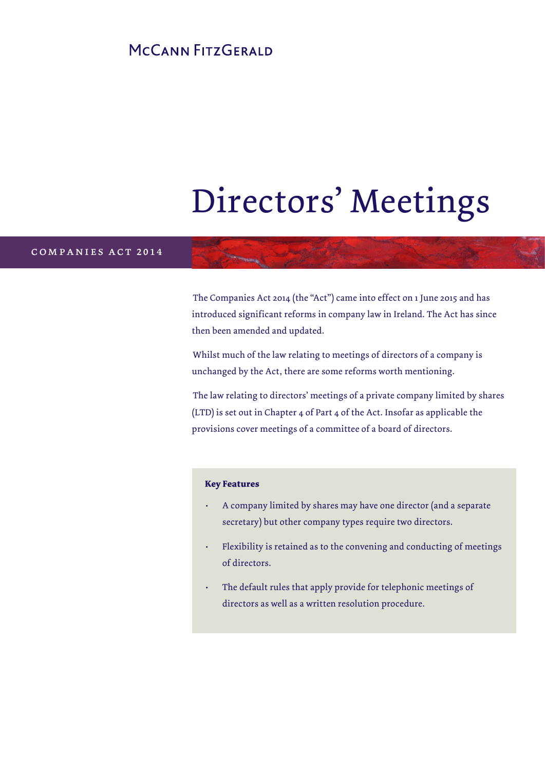## MCCANN FITZGERALD

# Directors' Meetings

#### companies act 2014

The Companies Act 2014 (the "Act") came into effect on 1 June 2015 and has introduced significant reforms in company law in Ireland. The Act has since then been amended and updated.

Whilst much of the law relating to meetings of directors of a company is unchanged by the Act, there are some reforms worth mentioning.

The law relating to directors' meetings of a private company limited by shares (LTD) is set out in Chapter 4 of Part 4 of the Act. Insofar as applicable the provisions cover meetings of a committee of a board of directors.

#### **Key Features**

- A company limited by shares may have one director (and a separate secretary) but other company types require two directors.
- Flexibility is retained as to the convening and conducting of meetings of directors.
- The default rules that apply provide for telephonic meetings of directors as well as a written resolution procedure.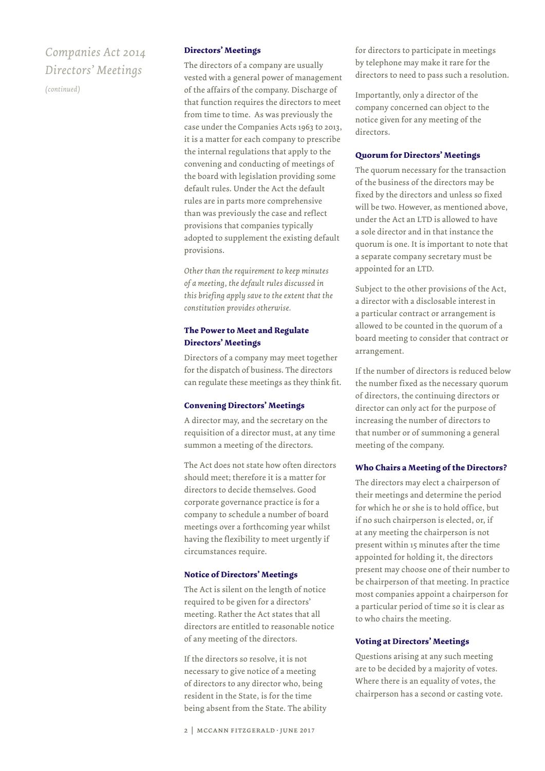## *Companies Act 2014 Directors' Meetings*

*(continued)*

#### **Directors' Meetings**

The directors of a company are usually vested with a general power of management of the affairs of the company. Discharge of that function requires the directors to meet from time to time. As was previously the case under the Companies Acts 1963 to 2013, it is a matter for each company to prescribe the internal regulations that apply to the convening and conducting of meetings of the board with legislation providing some default rules. Under the Act the default rules are in parts more comprehensive than was previously the case and reflect provisions that companies typically adopted to supplement the existing default provisions.

*Other than the requirement to keep minutes of a meeting, the default rules discussed in this briefing apply save to the extent that the constitution provides otherwise.*

#### **The Power to Meet and Regulate Directors' Meetings**

Directors of a company may meet together for the dispatch of business. The directors can regulate these meetings as they think fit.

#### **Convening Directors' Meetings**

A director may, and the secretary on the requisition of a director must, at any time summon a meeting of the directors.

The Act does not state how often directors should meet; therefore it is a matter for directors to decide themselves. Good corporate governance practice is for a company to schedule a number of board meetings over a forthcoming year whilst having the flexibility to meet urgently if circumstances require.

#### **Notice of Directors' Meetings**

The Act is silent on the length of notice required to be given for a directors' meeting. Rather the Act states that all directors are entitled to reasonable notice of any meeting of the directors.

If the directors so resolve, it is not necessary to give notice of a meeting of directors to any director who, being resident in the State, is for the time being absent from the State. The ability for directors to participate in meetings by telephone may make it rare for the directors to need to pass such a resolution.

Importantly, only a director of the company concerned can object to the notice given for any meeting of the directors.

#### **Quorum for Directors' Meetings**

The quorum necessary for the transaction of the business of the directors may be fixed by the directors and unless so fixed will be two. However, as mentioned above, under the Act an LTD is allowed to have a sole director and in that instance the quorum is one. It is important to note that a separate company secretary must be appointed for an LTD.

Subject to the other provisions of the Act, a director with a disclosable interest in a particular contract or arrangement is allowed to be counted in the quorum of a board meeting to consider that contract or arrangement.

If the number of directors is reduced below the number fixed as the necessary quorum of directors, the continuing directors or director can only act for the purpose of increasing the number of directors to that number or of summoning a general meeting of the company.

#### **Who Chairs a Meeting of the Directors?**

The directors may elect a chairperson of their meetings and determine the period for which he or she is to hold office, but if no such chairperson is elected, or, if at any meeting the chairperson is not present within 15 minutes after the time appointed for holding it, the directors present may choose one of their number to be chairperson of that meeting. In practice most companies appoint a chairperson for a particular period of time so it is clear as to who chairs the meeting.

#### **Voting at Directors' Meetings**

Questions arising at any such meeting are to be decided by a majority of votes. Where there is an equality of votes, the chairperson has a second or casting vote.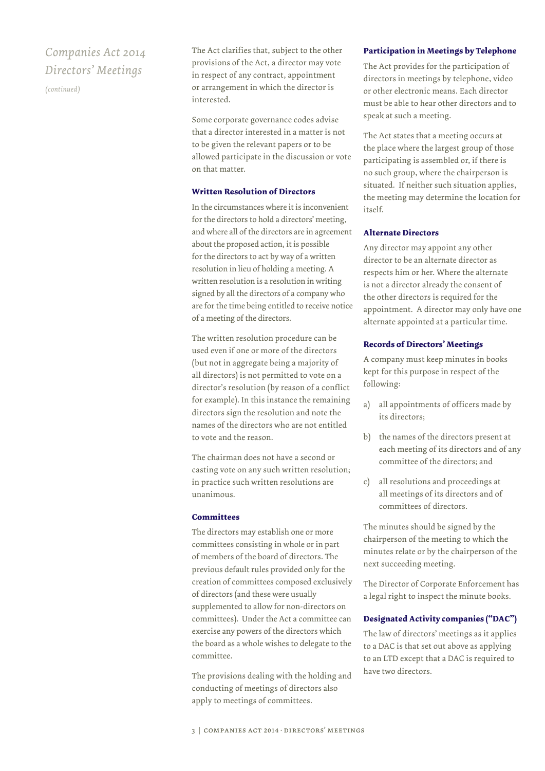## *Companies Act 2014 Directors' Meetings*

*(continued)*

The Act clarifies that, subject to the other provisions of the Act, a director may vote in respect of any contract, appointment or arrangement in which the director is interested.

Some corporate governance codes advise that a director interested in a matter is not to be given the relevant papers or to be allowed participate in the discussion or vote on that matter.

#### **Written Resolution of Directors**

In the circumstances where it is inconvenient for the directors to hold a directors' meeting, and where all of the directors are in agreement about the proposed action, it is possible for the directors to act by way of a written resolution in lieu of holding a meeting. A written resolution is a resolution in writing signed by all the directors of a company who are for the time being entitled to receive notice of a meeting of the directors.

The written resolution procedure can be used even if one or more of the directors (but not in aggregate being a majority of all directors) is not permitted to vote on a director's resolution (by reason of a conflict for example). In this instance the remaining directors sign the resolution and note the names of the directors who are not entitled to vote and the reason.

The chairman does not have a second or casting vote on any such written resolution; in practice such written resolutions are unanimous.

#### **Committees**

The directors may establish one or more committees consisting in whole or in part of members of the board of directors. The previous default rules provided only for the creation of committees composed exclusively of directors (and these were usually supplemented to allow for non-directors on committees). Under the Act a committee can exercise any powers of the directors which the board as a whole wishes to delegate to the committee.

The provisions dealing with the holding and conducting of meetings of directors also apply to meetings of committees.

#### **Participation in Meetings by Telephone**

The Act provides for the participation of directors in meetings by telephone, video or other electronic means. Each director must be able to hear other directors and to speak at such a meeting.

The Act states that a meeting occurs at the place where the largest group of those participating is assembled or, if there is no such group, where the chairperson is situated. If neither such situation applies, the meeting may determine the location for itself.

#### **Alternate Directors**

Any director may appoint any other director to be an alternate director as respects him or her. Where the alternate is not a director already the consent of the other directors is required for the appointment. A director may only have one alternate appointed at a particular time.

#### **Records of Directors' Meetings**

A company must keep minutes in books kept for this purpose in respect of the following:

- a) all appointments of officers made by its directors;
- b) the names of the directors present at each meeting of its directors and of any committee of the directors; and
- c) all resolutions and proceedings at all meetings of its directors and of committees of directors.

The minutes should be signed by the chairperson of the meeting to which the minutes relate or by the chairperson of the next succeeding meeting.

The Director of Corporate Enforcement has a legal right to inspect the minute books.

#### **Designated Activity companies ("DAC")**

The law of directors' meetings as it applies to a DAC is that set out above as applying to an LTD except that a DAC is required to have two directors.